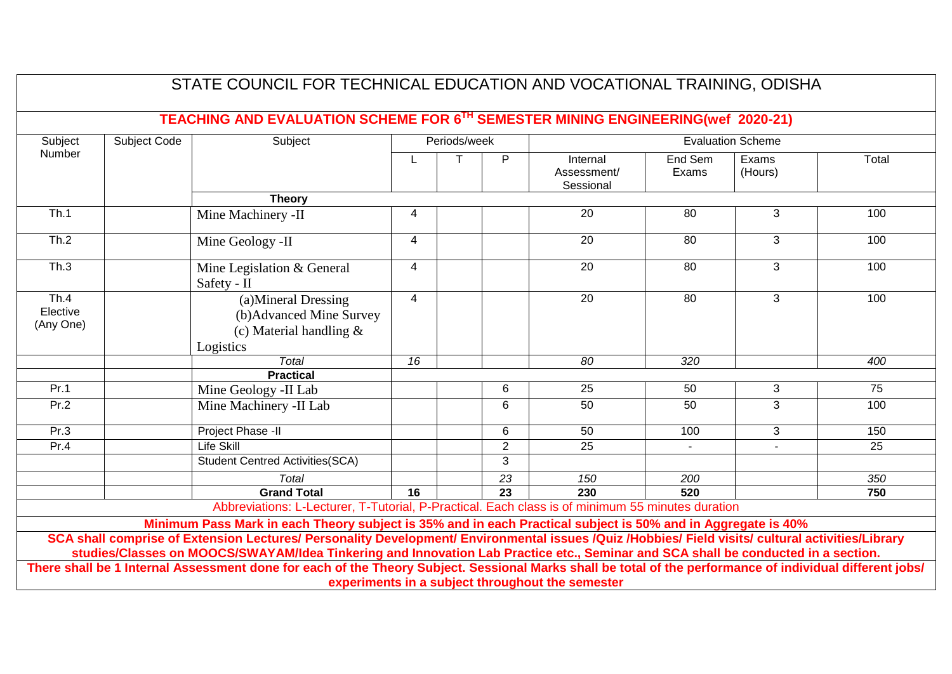|                                                                                                                                                                                                                                                                                        | STATE COUNCIL FOR TECHNICAL EDUCATION AND VOCATIONAL TRAINING, ODISHA                                                                                     |                                                                                                  |                 |                                          |                 |                                      |                  |                  |                 |
|----------------------------------------------------------------------------------------------------------------------------------------------------------------------------------------------------------------------------------------------------------------------------------------|-----------------------------------------------------------------------------------------------------------------------------------------------------------|--------------------------------------------------------------------------------------------------|-----------------|------------------------------------------|-----------------|--------------------------------------|------------------|------------------|-----------------|
|                                                                                                                                                                                                                                                                                        |                                                                                                                                                           | TEACHING AND EVALUATION SCHEME FOR 6TH SEMESTER MINING ENGINEERING(wef 2020-21)                  |                 |                                          |                 |                                      |                  |                  |                 |
| Subject<br>Subject Code                                                                                                                                                                                                                                                                |                                                                                                                                                           | Subject                                                                                          |                 | Periods/week<br><b>Evaluation Scheme</b> |                 |                                      |                  |                  |                 |
| Number                                                                                                                                                                                                                                                                                 |                                                                                                                                                           |                                                                                                  | L               |                                          | P               | Internal<br>Assessment/<br>Sessional | End Sem<br>Exams | Exams<br>(Hours) | Total           |
|                                                                                                                                                                                                                                                                                        |                                                                                                                                                           | <b>Theory</b>                                                                                    |                 |                                          |                 |                                      |                  |                  |                 |
| Th.1                                                                                                                                                                                                                                                                                   |                                                                                                                                                           | Mine Machinery -II                                                                               | 4               |                                          |                 | $\overline{20}$                      | 80               | 3                | 100             |
| Th.2                                                                                                                                                                                                                                                                                   |                                                                                                                                                           | Mine Geology -II                                                                                 | $\overline{4}$  |                                          |                 | 20                                   | 80               | 3                | 100             |
| Th.3                                                                                                                                                                                                                                                                                   |                                                                                                                                                           | Mine Legislation & General<br>Safety - II                                                        | 4               |                                          |                 | 20                                   | 80               | 3                | 100             |
| Th.4<br>Elective<br>(Any One)                                                                                                                                                                                                                                                          |                                                                                                                                                           | (a)Mineral Dressing<br>(b)Advanced Mine Survey<br>(c) Material handling $\&$<br>Logistics        | $\overline{4}$  |                                          |                 | $\overline{20}$                      | 80               | $\overline{3}$   | 100             |
|                                                                                                                                                                                                                                                                                        |                                                                                                                                                           | Total                                                                                            | $\overline{16}$ |                                          |                 | 80                                   | 320              |                  | 400             |
|                                                                                                                                                                                                                                                                                        |                                                                                                                                                           | <b>Practical</b>                                                                                 |                 |                                          |                 |                                      |                  |                  |                 |
| Pr.1                                                                                                                                                                                                                                                                                   |                                                                                                                                                           | Mine Geology -II Lab                                                                             |                 |                                          | 6               | 25                                   | 50               | 3                | 75              |
| Pr.2                                                                                                                                                                                                                                                                                   |                                                                                                                                                           | Mine Machinery -II Lab                                                                           |                 |                                          | $6\phantom{1}6$ | 50                                   | 50               | $\overline{3}$   | 100             |
| Pr.3                                                                                                                                                                                                                                                                                   |                                                                                                                                                           | Project Phase -II                                                                                |                 |                                          | 6               | 50                                   | 100              | 3                | 150             |
| Pr.4                                                                                                                                                                                                                                                                                   |                                                                                                                                                           | <b>Life Skill</b>                                                                                |                 |                                          | $\overline{2}$  | $\overline{25}$                      |                  |                  | $\overline{25}$ |
|                                                                                                                                                                                                                                                                                        |                                                                                                                                                           | <b>Student Centred Activities(SCA)</b>                                                           |                 |                                          | 3               |                                      |                  |                  |                 |
|                                                                                                                                                                                                                                                                                        |                                                                                                                                                           | Total                                                                                            |                 |                                          | $\overline{23}$ | 150                                  | 200              |                  | 350             |
|                                                                                                                                                                                                                                                                                        |                                                                                                                                                           | <b>Grand Total</b>                                                                               | $\overline{16}$ |                                          | $\overline{23}$ | 230                                  | 520              |                  | 750             |
|                                                                                                                                                                                                                                                                                        |                                                                                                                                                           | Abbreviations: L-Lecturer, T-Tutorial, P-Practical. Each class is of minimum 55 minutes duration |                 |                                          |                 |                                      |                  |                  |                 |
| Minimum Pass Mark in each Theory subject is 35% and in each Practical subject is 50% and in Aggregate is 40%                                                                                                                                                                           |                                                                                                                                                           |                                                                                                  |                 |                                          |                 |                                      |                  |                  |                 |
| SCA shall comprise of Extension Lectures/ Personality Development/ Environmental issues /Quiz /Hobbies/ Field visits/ cultural activities/Library<br>studies/Classes on MOOCS/SWAYAM/Idea Tinkering and Innovation Lab Practice etc., Seminar and SCA shall be conducted in a section. |                                                                                                                                                           |                                                                                                  |                 |                                          |                 |                                      |                  |                  |                 |
|                                                                                                                                                                                                                                                                                        | There shall be 1 Internal Assessment done for each of the Theory Subject. Sessional Marks shall be total of the performance of individual different jobs/ |                                                                                                  |                 |                                          |                 |                                      |                  |                  |                 |
| experiments in a subject throughout the semester                                                                                                                                                                                                                                       |                                                                                                                                                           |                                                                                                  |                 |                                          |                 |                                      |                  |                  |                 |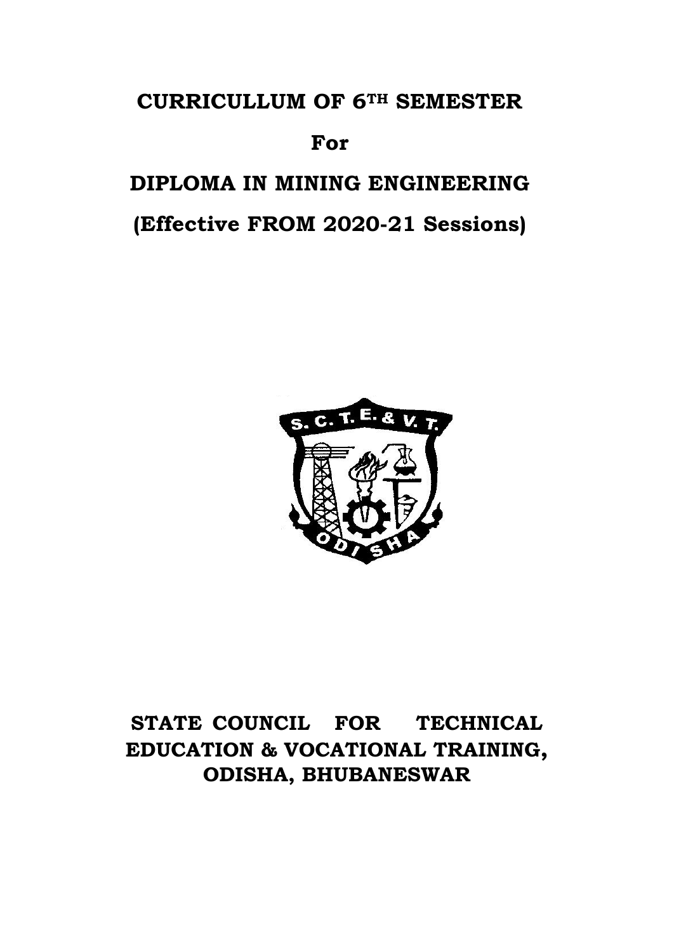# **CURRICULLUM OF 6TH SEMESTER**

# **For**

# **DIPLOMA IN MINING ENGINEERING**

# **(Effective FROM 2020-21 Sessions)**



# **STATE COUNCIL FOR TECHNICAL EDUCATION & VOCATIONAL TRAINING, ODISHA, BHUBANESWAR**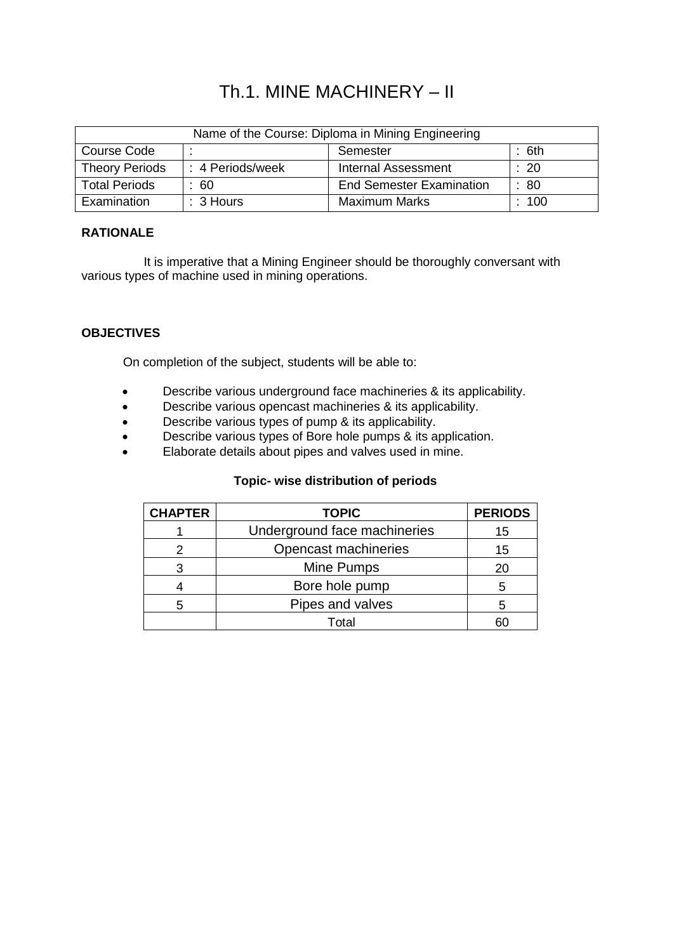# Th.1. MINE MACHINERY – II

| Name of the Course: Diploma in Mining Engineering |                  |                                 |       |  |
|---------------------------------------------------|------------------|---------------------------------|-------|--|
| Course Code<br>: 6th<br>Semester                  |                  |                                 |       |  |
| <b>Theory Periods</b>                             | : 4 Periods/week | <b>Internal Assessment</b>      | : 20  |  |
| <b>Total Periods</b>                              | -60              | <b>End Semester Examination</b> | : 80  |  |
| Examination                                       | $: 3$ Hours      | <b>Maximum Marks</b>            | : 100 |  |

# **RATIONALE**

It is imperative that a Mining Engineer should be thoroughly conversant with various types of machine used in mining operations.

### **OBJECTIVES**

On completion of the subject, students will be able to:

- Describe various underground face machineries & its applicability.
- Describe various opencast machineries & its applicability.
- Describe various types of pump & its applicability.
- **•** Describe various types of Bore hole pumps & its application.
- Elaborate details about pipes and valves used in mine.

#### **Topic- wise distribution of periods**

| <b>CHAPTER</b> | <b>TOPIC</b>                 | <b>PERIODS</b> |
|----------------|------------------------------|----------------|
|                | Underground face machineries | 15             |
|                | Opencast machineries         | 15             |
|                | Mine Pumps                   | 20             |
|                | Bore hole pump               | 5              |
|                | Pipes and valves             | 5              |
|                | Total                        |                |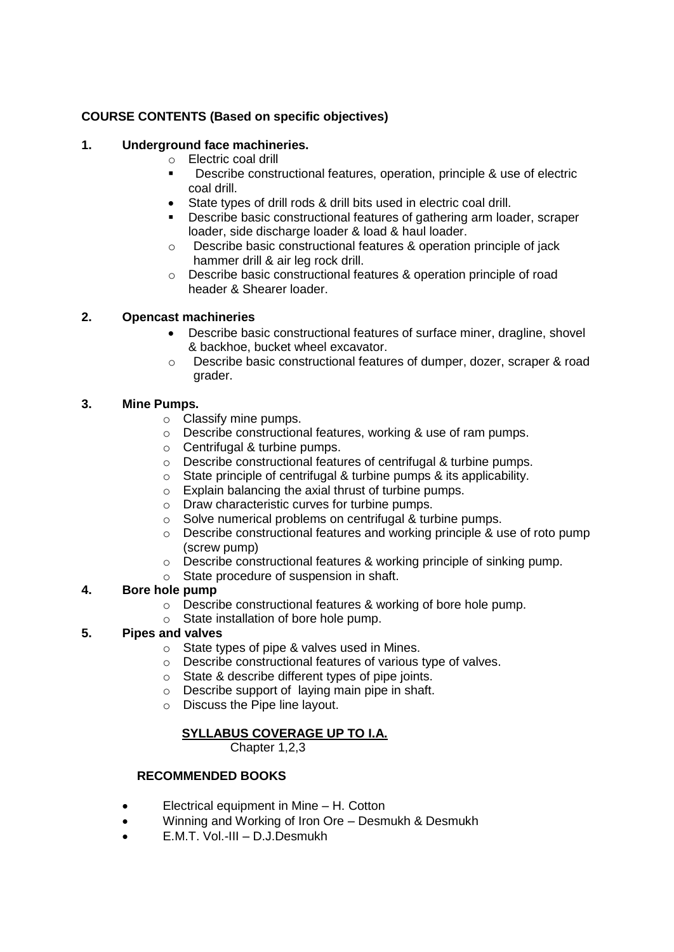### **1. Underground face machineries.**

- o Electric coal drill
- **Describe constructional features, operation, principle & use of electric** coal drill.
- State types of drill rods & drill bits used in electric coal drill.
- **Describe basic constructional features of gathering arm loader, scraper** loader, side discharge loader & load & haul loader.
- o Describe basic constructional features & operation principle of jack hammer drill & air leg rock drill.
- o Describe basic constructional features & operation principle of road header & Shearer loader.

### **2. Opencast machineries**

- Describe basic constructional features of surface miner, dragline, shovel & backhoe, bucket wheel excavator.
- o Describe basic constructional features of dumper, dozer, scraper & road grader.

### **3. Mine Pumps.**

- o Classify mine pumps.
- o Describe constructional features, working & use of ram pumps.
- o Centrifugal & turbine pumps.
- o Describe constructional features of centrifugal & turbine pumps.
- o State principle of centrifugal & turbine pumps & its applicability.
- o Explain balancing the axial thrust of turbine pumps.
- o Draw characteristic curves for turbine pumps.
- o Solve numerical problems on centrifugal & turbine pumps.
- $\circ$  Describe constructional features and working principle & use of roto pump (screw pump)
- o Describe constructional features & working principle of sinking pump.
- o State procedure of suspension in shaft.

# **4. Bore hole pump**

- o Describe constructional features & working of bore hole pump.
- o State installation of bore hole pump.

# **5. Pipes and valves**

- o State types of pipe & valves used in Mines.
- o Describe constructional features of various type of valves.
- o State & describe different types of pipe joints.
- o Describe support of laying main pipe in shaft.
- o Discuss the Pipe line layout.

# **SYLLABUS COVERAGE UP TO I.A.**

Chapter 1,2,3

- Electrical equipment in Mine H. Cotton
- Winning and Working of Iron Ore Desmukh & Desmukh
- E.M.T. Vol.-III D.J.Desmukh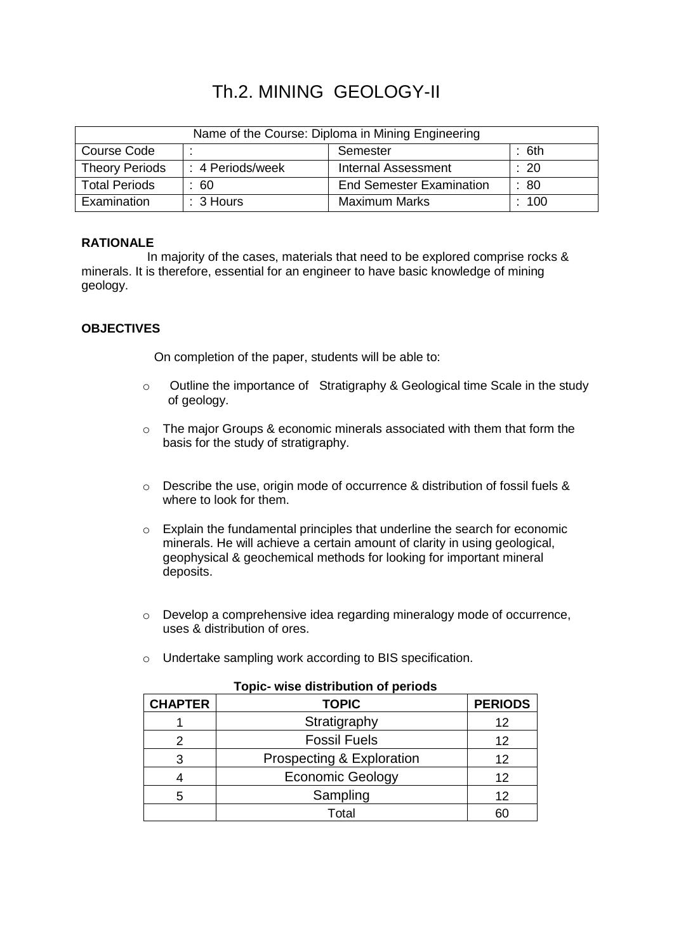# Th.2. MINING GEOLOGY-II

| Name of the Course: Diploma in Mining Engineering |                  |                                 |       |  |
|---------------------------------------------------|------------------|---------------------------------|-------|--|
| Course Code<br>: 6th<br>Semester                  |                  |                                 |       |  |
| <b>Theory Periods</b>                             | : 4 Periods/week | <b>Internal Assessment</b>      | : 20  |  |
| <b>Total Periods</b>                              | -60              | <b>End Semester Examination</b> | : 80  |  |
| Examination                                       | $: 3$ Hours      | <b>Maximum Marks</b>            | : 100 |  |

### **RATIONALE**

 In majority of the cases, materials that need to be explored comprise rocks & minerals. It is therefore, essential for an engineer to have basic knowledge of mining geology.

### **OBJECTIVES**

On completion of the paper, students will be able to:

- o Outline the importance of Stratigraphy & Geological time Scale in the study of geology.
- o The major Groups & economic minerals associated with them that form the basis for the study of stratigraphy.
- o Describe the use, origin mode of occurrence & distribution of fossil fuels & where to look for them.
- $\circ$  Explain the fundamental principles that underline the search for economic minerals. He will achieve a certain amount of clarity in using geological, geophysical & geochemical methods for looking for important mineral deposits.
- o Develop a comprehensive idea regarding mineralogy mode of occurrence, uses & distribution of ores.
- o Undertake sampling work according to BIS specification.

| <b>CHAPTER</b> | <b>TOPIC</b>              |    |  |  |
|----------------|---------------------------|----|--|--|
|                | Stratigraphy              | 12 |  |  |
|                | <b>Fossil Fuels</b>       | 12 |  |  |
| З              | Prospecting & Exploration | 12 |  |  |
|                | <b>Economic Geology</b>   | 12 |  |  |
|                | Sampling                  | 12 |  |  |
|                | Total                     | 60 |  |  |

#### **Topic- wise distribution of periods**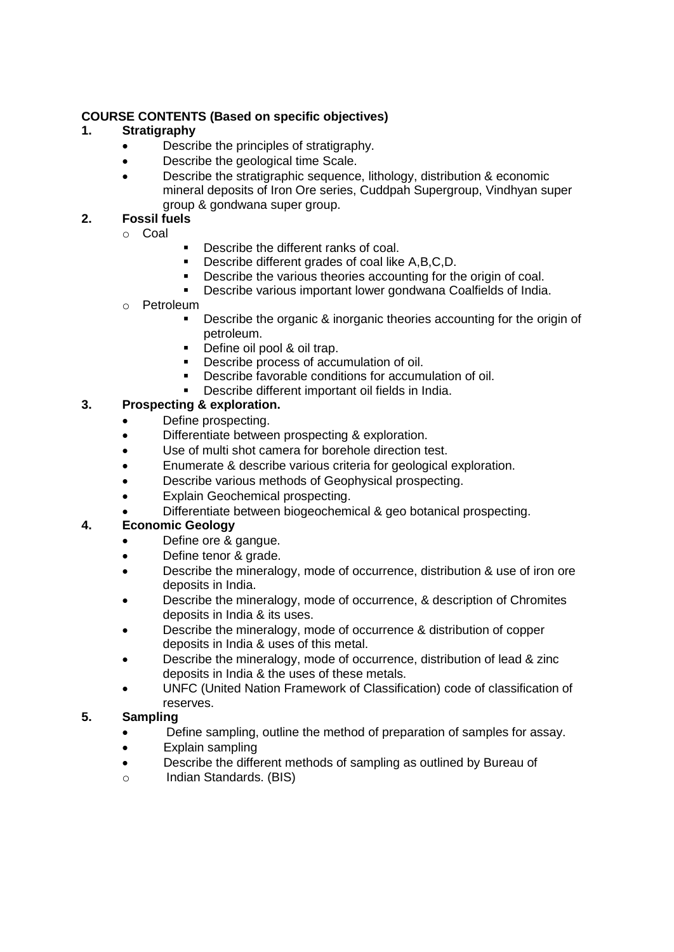# **1. Stratigraphy**

- Describe the principles of stratigraphy.
- Describe the geological time Scale.
- Describe the stratigraphic sequence, lithology, distribution & economic mineral deposits of Iron Ore series, Cuddpah Supergroup, Vindhyan super group & gondwana super group.

# **2. Fossil fuels**

- o Coal
- Describe the different ranks of coal.
- Describe different grades of coal like A, B, C, D.
- Describe the various theories accounting for the origin of coal.
- **-** Describe various important lower gondwana Coalfields of India.
- o Petroleum
	- **•** Describe the organic & inorganic theories accounting for the origin of petroleum.
	- Define oil pool & oil trap.<br>Describe process of accu
	- Describe process of accumulation of oil.
	- Describe favorable conditions for accumulation of oil.
	- Describe different important oil fields in India.

# **3. Prospecting & exploration.**

- Define prospecting.
- Differentiate between prospecting & exploration.
- Use of multi shot camera for borehole direction test.
- Enumerate & describe various criteria for geological exploration.
- Describe various methods of Geophysical prospecting.
- Explain Geochemical prospecting.
- Differentiate between biogeochemical & geo botanical prospecting.

# **4. Economic Geology**

- Define ore & gangue.
- Define tenor & grade.
- Describe the mineralogy, mode of occurrence, distribution & use of iron ore deposits in India.
- Describe the mineralogy, mode of occurrence, & description of Chromites deposits in India & its uses.
- Describe the mineralogy, mode of occurrence & distribution of copper deposits in India & uses of this metal.
- Describe the mineralogy, mode of occurrence, distribution of lead & zinc deposits in India & the uses of these metals.
- UNFC (United Nation Framework of Classification) code of classification of reserves.

# **5. Sampling**

- Define sampling, outline the method of preparation of samples for assay.
- Explain sampling
- Describe the different methods of sampling as outlined by Bureau of
- o Indian Standards. (BIS)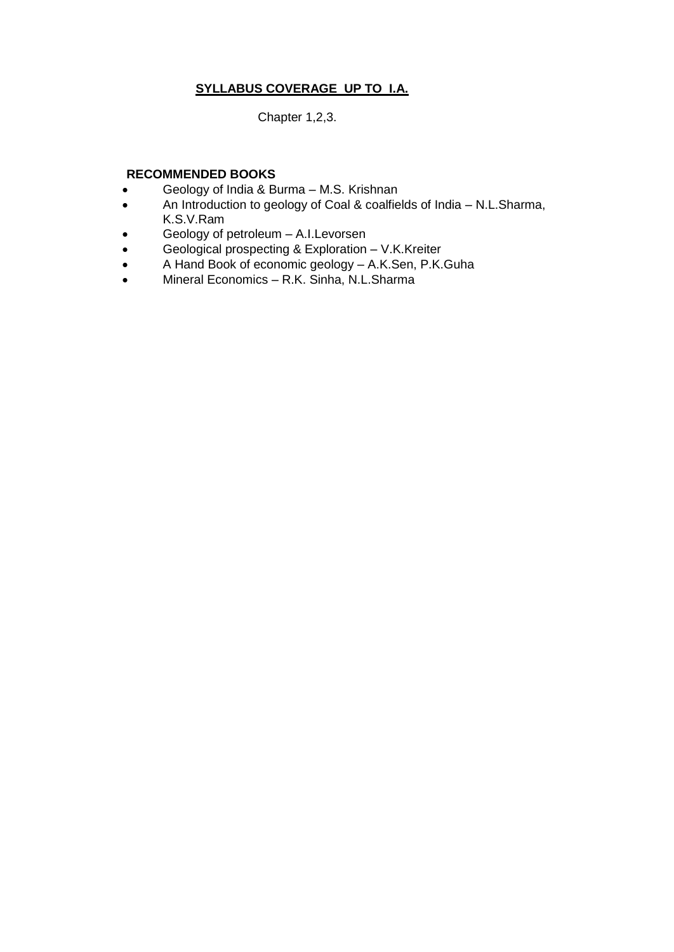# **SYLLABUS COVERAGE UP TO I.A.**

Chapter 1,2,3.

- Geology of India & Burma M.S. Krishnan
- An Introduction to geology of Coal & coalfields of India N.L.Sharma, K.S.V.Ram
- Geology of petroleum A.I.Levorsen
- Geological prospecting & Exploration V.K.Kreiter
- A Hand Book of economic geology A.K.Sen, P.K.Guha
- Mineral Economics R.K. Sinha, N.L.Sharma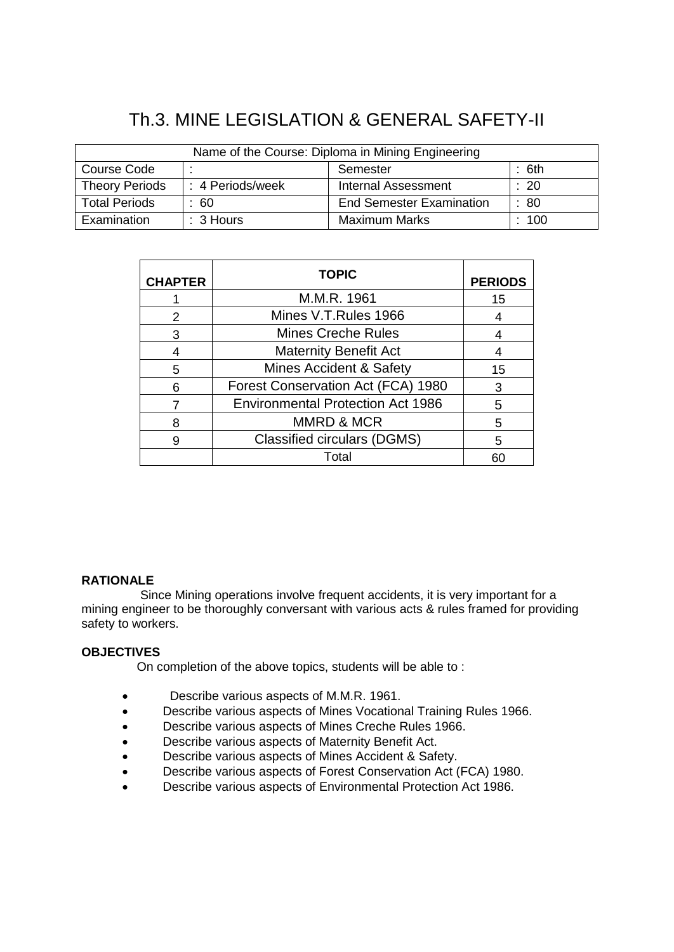# Th.3. MINE LEGISLATION & GENERAL SAFETY-II

| Name of the Course: Diploma in Mining Engineering |                  |                                 |       |  |
|---------------------------------------------------|------------------|---------------------------------|-------|--|
| Course Code<br>: 6th<br>Semester                  |                  |                                 |       |  |
| <b>Theory Periods</b>                             | : 4 Periods/week | <b>Internal Assessment</b>      | : 20  |  |
| <b>Total Periods</b>                              | - 60             | <b>End Semester Examination</b> | : 80  |  |
| Examination                                       | $: 3$ Hours      | <b>Maximum Marks</b>            | : 100 |  |

| <b>CHAPTER</b> | <b>TOPIC</b>                             | <b>PERIODS</b> |
|----------------|------------------------------------------|----------------|
|                | M.M.R. 1961                              | 15             |
| 2              | Mines V.T.Rules 1966                     |                |
| 3              | <b>Mines Creche Rules</b>                |                |
|                | <b>Maternity Benefit Act</b>             |                |
| 5              | Mines Accident & Safety                  | 15             |
| 6              | Forest Conservation Act (FCA) 1980       | 3              |
|                | <b>Environmental Protection Act 1986</b> | 5              |
|                | <b>MMRD &amp; MCR</b>                    | 5              |
| 9              | <b>Classified circulars (DGMS)</b>       | 5              |
|                | Total                                    |                |

# **RATIONALE**

Since Mining operations involve frequent accidents, it is very important for a mining engineer to be thoroughly conversant with various acts & rules framed for providing safety to workers.

#### **OBJECTIVES**

On completion of the above topics, students will be able to :

- Describe various aspects of M.M.R. 1961.
- Describe various aspects of Mines Vocational Training Rules 1966.
- Describe various aspects of Mines Creche Rules 1966.
- Describe various aspects of Maternity Benefit Act.
- Describe various aspects of Mines Accident & Safety.
- Describe various aspects of Forest Conservation Act (FCA) 1980.
- Describe various aspects of Environmental Protection Act 1986.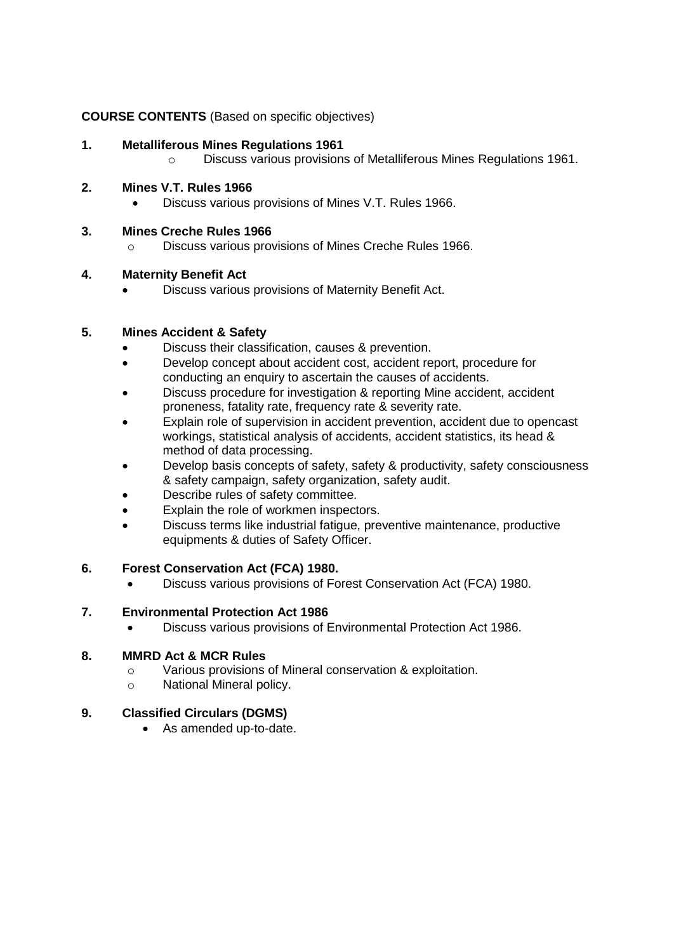#### **1. Metalliferous Mines Regulations 1961**

o Discuss various provisions of Metalliferous Mines Regulations 1961.

- **2. Mines V.T. Rules 1966**
	- Discuss various provisions of Mines V.T. Rules 1966.
- **3. Mines Creche Rules 1966**
	- o Discuss various provisions of Mines Creche Rules 1966.

#### **4. Maternity Benefit Act**

Discuss various provisions of Maternity Benefit Act.

### **5. Mines Accident & Safety**

- Discuss their classification, causes & prevention.
- Develop concept about accident cost, accident report, procedure for conducting an enquiry to ascertain the causes of accidents.
- Discuss procedure for investigation & reporting Mine accident, accident proneness, fatality rate, frequency rate & severity rate.
- Explain role of supervision in accident prevention, accident due to opencast workings, statistical analysis of accidents, accident statistics, its head & method of data processing.
- Develop basis concepts of safety, safety & productivity, safety consciousness & safety campaign, safety organization, safety audit.
- Describe rules of safety committee.
- Explain the role of workmen inspectors.
- Discuss terms like industrial fatigue, preventive maintenance, productive equipments & duties of Safety Officer.

#### **6. Forest Conservation Act (FCA) 1980.**

Discuss various provisions of Forest Conservation Act (FCA) 1980.

#### **7. Environmental Protection Act 1986**

Discuss various provisions of Environmental Protection Act 1986.

#### **8. MMRD Act & MCR Rules**

- o Various provisions of Mineral conservation & exploitation.
- o National Mineral policy.

#### **9. Classified Circulars (DGMS)**

As amended up-to-date.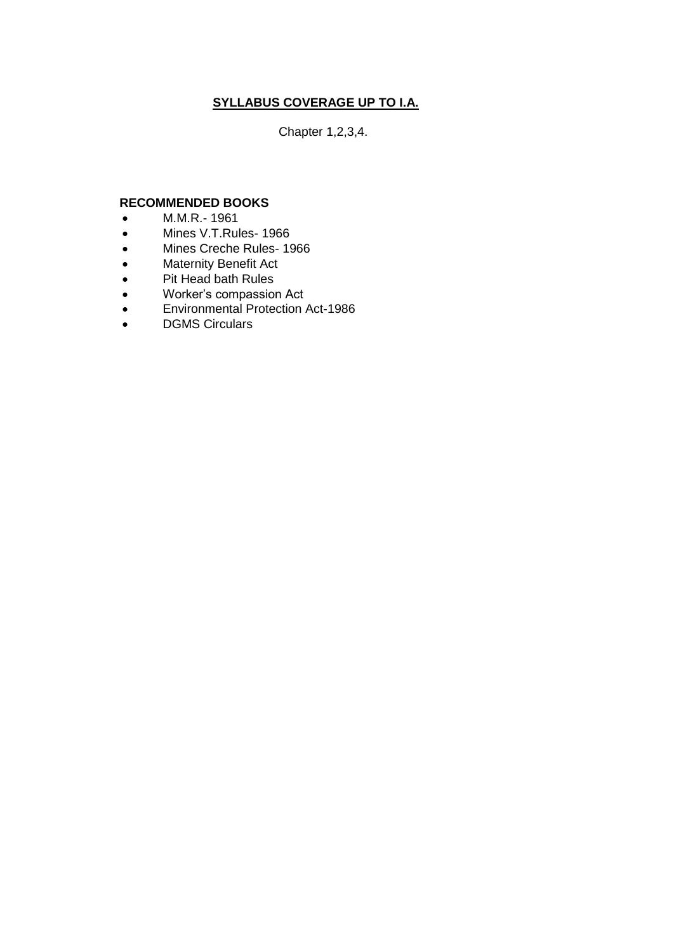# **SYLLABUS COVERAGE UP TO I.A.**

Chapter 1,2,3,4.

- M.M.R.- 1961
- Mines V.T.Rules- 1966
- Mines Creche Rules- 1966
- Maternity Benefit Act
- Pit Head bath Rules
- Worker's compassion Act
- Environmental Protection Act-1986
- DGMS Circulars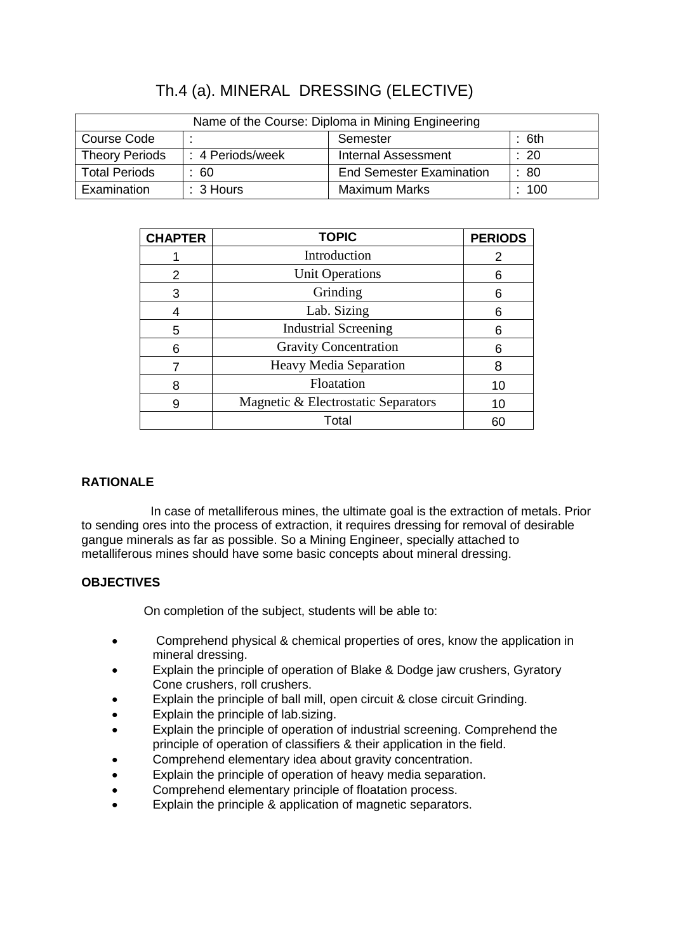| Name of the Course: Diploma in Mining Engineering |                  |                                 |       |  |
|---------------------------------------------------|------------------|---------------------------------|-------|--|
| Course Code<br>: 6th<br>Semester                  |                  |                                 |       |  |
| <b>Theory Periods</b>                             | : 4 Periods/week | <b>Internal Assessment</b>      | : 20  |  |
| <b>Total Periods</b>                              | -60              | <b>End Semester Examination</b> | : 80  |  |
| Examination                                       | $\pm$ 3 Hours    | <b>Maximum Marks</b>            | : 100 |  |

# Th.4 (a). MINERAL DRESSING (ELECTIVE)

| <b>CHAPTER</b> | <b>TOPIC</b>                        | <b>PERIODS</b> |
|----------------|-------------------------------------|----------------|
|                | Introduction                        | 2              |
| 2              | <b>Unit Operations</b>              | 6              |
| 3              | Grinding                            | 6              |
|                | Lab. Sizing                         | 6              |
| 5              | <b>Industrial Screening</b>         | 6              |
| 6              | <b>Gravity Concentration</b>        | 6              |
|                | Heavy Media Separation              | 8              |
| 8              | Floatation                          | 10             |
| 9              | Magnetic & Electrostatic Separators | 10             |
|                | Total                               | 60             |

# **RATIONALE**

In case of metalliferous mines, the ultimate goal is the extraction of metals. Prior to sending ores into the process of extraction, it requires dressing for removal of desirable gangue minerals as far as possible. So a Mining Engineer, specially attached to metalliferous mines should have some basic concepts about mineral dressing.

# **OBJECTIVES**

On completion of the subject, students will be able to:

- Comprehend physical & chemical properties of ores, know the application in mineral dressing.
- Explain the principle of operation of Blake & Dodge jaw crushers, Gyratory Cone crushers, roll crushers.
- Explain the principle of ball mill, open circuit & close circuit Grinding.
- Explain the principle of lab.sizing.
- Explain the principle of operation of industrial screening. Comprehend the principle of operation of classifiers & their application in the field.
- Comprehend elementary idea about gravity concentration.
- Explain the principle of operation of heavy media separation.
- Comprehend elementary principle of floatation process.
- Explain the principle & application of magnetic separators.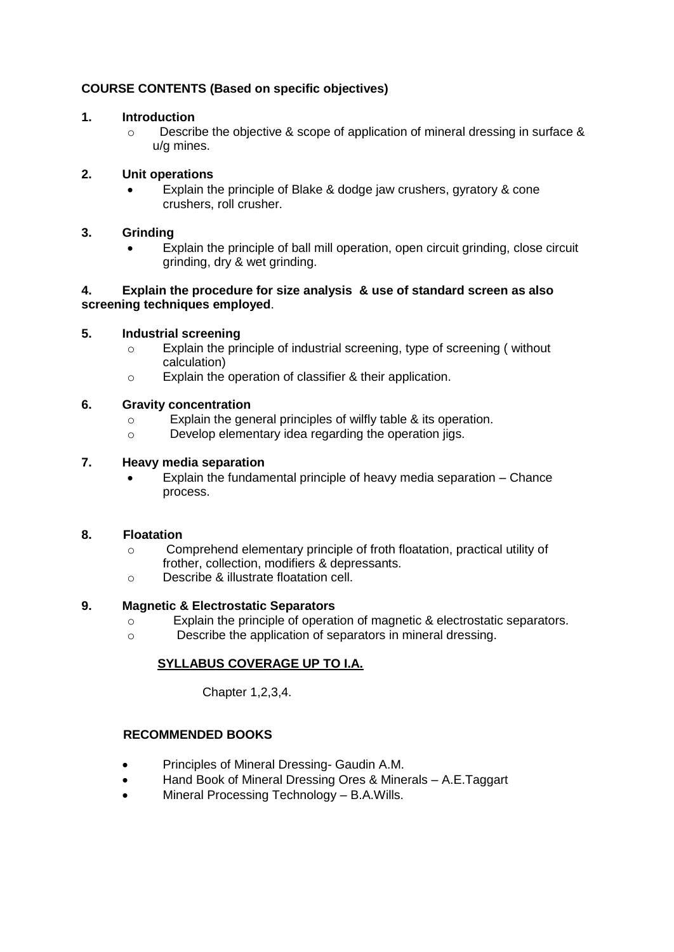#### **1. Introduction**

o Describe the objective & scope of application of mineral dressing in surface & u/g mines.

#### **2. Unit operations**

 Explain the principle of Blake & dodge jaw crushers, gyratory & cone crushers, roll crusher.

#### **3. Grinding**

 Explain the principle of ball mill operation, open circuit grinding, close circuit grinding, dry & wet grinding.

#### **4. Explain the procedure for size analysis & use of standard screen as also screening techniques employed**.

### **5. Industrial screening**

- o Explain the principle of industrial screening, type of screening ( without calculation)
- o Explain the operation of classifier & their application.

#### **6. Gravity concentration**

- o Explain the general principles of wilfly table & its operation.
- o Develop elementary idea regarding the operation jigs.

#### **7. Heavy media separation**

 Explain the fundamental principle of heavy media separation – Chance process.

#### **8. Floatation**

- o Comprehend elementary principle of froth floatation, practical utility of frother, collection, modifiers & depressants.
- o Describe & illustrate floatation cell.

#### **9. Magnetic & Electrostatic Separators**

- o Explain the principle of operation of magnetic & electrostatic separators.
- o Describe the application of separators in mineral dressing.

# **SYLLABUS COVERAGE UP TO I.A.**

Chapter 1,2,3,4.

- Principles of Mineral Dressing- Gaudin A.M.
- Hand Book of Mineral Dressing Ores & Minerals A.E.Taggart
- Mineral Processing Technology B.A.Wills.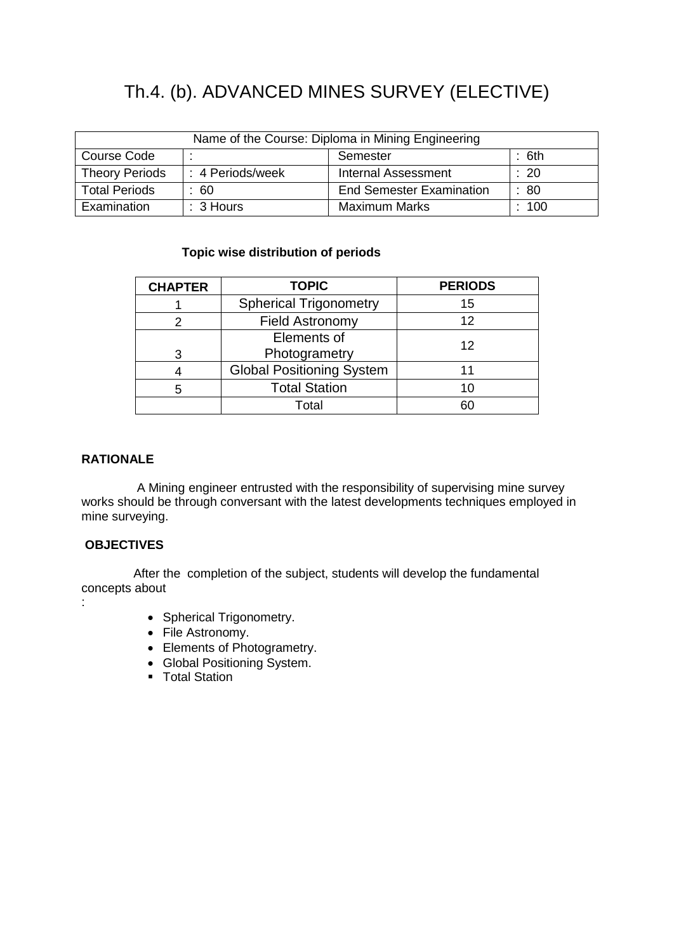# Th.4. (b). ADVANCED MINES SURVEY (ELECTIVE)

| Name of the Course: Diploma in Mining Engineering |                  |                                 |                 |  |
|---------------------------------------------------|------------------|---------------------------------|-----------------|--|
| Course Code<br>: 6th<br>Semester                  |                  |                                 |                 |  |
| <b>Theory Periods</b>                             | : 4 Periods/week | <b>Internal Assessment</b>      | $\therefore$ 20 |  |
| <b>Total Periods</b>                              | -60              | <b>End Semester Examination</b> | : 80            |  |
| Examination                                       | $: 3$ Hours      | <b>Maximum Marks</b>            | : 100           |  |

### **Topic wise distribution of periods**

| <b>CHAPTER</b> | <b>TOPIC</b>                     | <b>PERIODS</b> |
|----------------|----------------------------------|----------------|
|                | <b>Spherical Trigonometry</b>    | 15             |
|                | <b>Field Astronomy</b>           | 12             |
|                | Elements of                      | 12             |
| 3              | Photogrametry                    |                |
|                | <b>Global Positioning System</b> |                |
| 5              | <b>Total Station</b>             | 10             |
|                | Total                            | ഒറ             |

### **RATIONALE**

A Mining engineer entrusted with the responsibility of supervising mine survey works should be through conversant with the latest developments techniques employed in mine surveying.

#### **OBJECTIVES**

:

After the completion of the subject, students will develop the fundamental concepts about

- Spherical Trigonometry.
- File Astronomy.
- Elements of Photogrametry.
- Global Positioning System.
- **Total Station**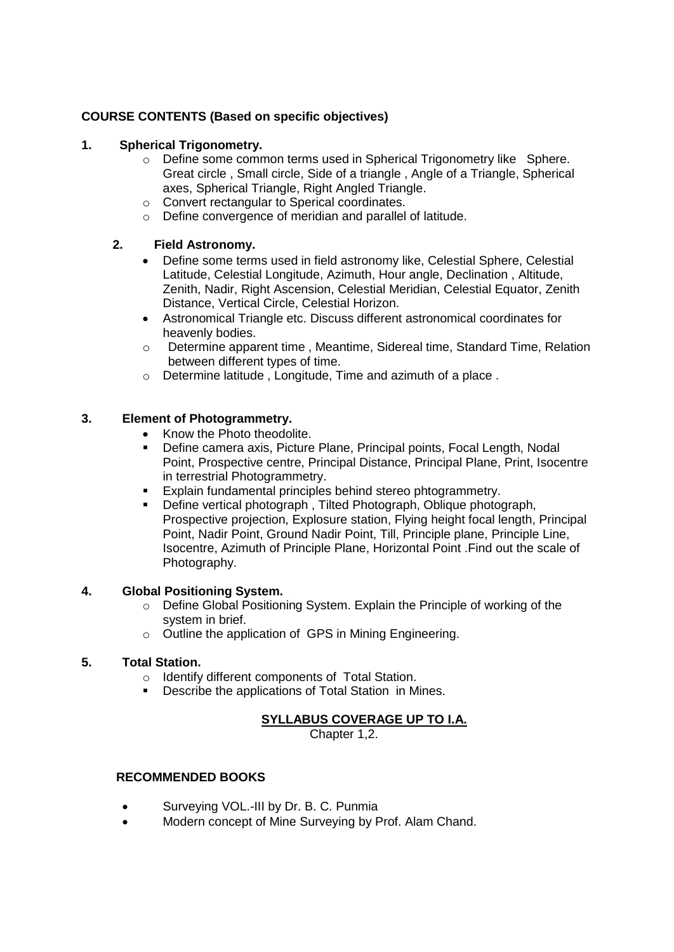## **1. Spherical Trigonometry.**

- $\circ$  Define some common terms used in Spherical Trigonometry like Sphere. Great circle , Small circle, Side of a triangle , Angle of a Triangle, Spherical axes, Spherical Triangle, Right Angled Triangle.
- o Convert rectangular to Sperical coordinates.
- o Define convergence of meridian and parallel of latitude.

# **2. Field Astronomy.**

- Define some terms used in field astronomy like, Celestial Sphere, Celestial Latitude, Celestial Longitude, Azimuth, Hour angle, Declination , Altitude, Zenith, Nadir, Right Ascension, Celestial Meridian, Celestial Equator, Zenith Distance, Vertical Circle, Celestial Horizon.
- Astronomical Triangle etc. Discuss different astronomical coordinates for heavenly bodies.
- o Determine apparent time , Meantime, Sidereal time, Standard Time, Relation between different types of time.
- o Determine latitude , Longitude, Time and azimuth of a place .

# **3. Element of Photogrammetry.**

- Know the Photo theodolite.
- Define camera axis, Picture Plane, Principal points, Focal Length, Nodal Point, Prospective centre, Principal Distance, Principal Plane, Print, Isocentre in terrestrial Photogrammetry.
- **Explain fundamental principles behind stereo phtogrammetry.**
- Define vertical photograph , Tilted Photograph, Oblique photograph, Prospective projection, Explosure station, Flying height focal length, Principal Point, Nadir Point, Ground Nadir Point, Till, Principle plane, Principle Line, Isocentre, Azimuth of Principle Plane, Horizontal Point .Find out the scale of Photography.

#### **4. Global Positioning System.**

- o Define Global Positioning System. Explain the Principle of working of the system in brief.
- o Outline the application of GPS in Mining Engineering.

# **5. Total Station.**

- o Identify different components of Total Station.
- **•** Describe the applications of Total Station in Mines.

# **SYLLABUS COVERAGE UP TO I.A.**

Chapter 1,2.

- Surveying VOL.-III by Dr. B. C. Punmia
- Modern concept of Mine Surveying by Prof. Alam Chand.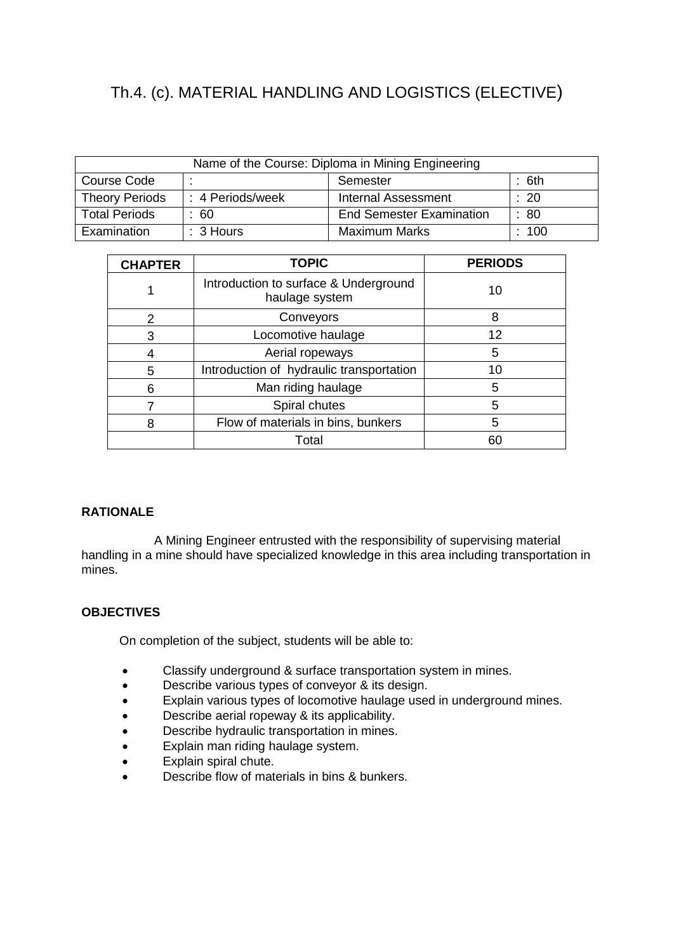# Th.4. (c). MATERIAL HANDLING AND LOGISTICS (ELECTIVE)

| Name of the Course: Diploma in Mining Engineering |                      |                                 |       |  |
|---------------------------------------------------|----------------------|---------------------------------|-------|--|
| Course Code<br>:6th<br>Semester                   |                      |                                 |       |  |
| <b>Theory Periods</b>                             | : 4 Periods/week     | <b>Internal Assessment</b>      | : 20  |  |
| <b>Total Periods</b>                              | -60                  | <b>End Semester Examination</b> | : 80  |  |
| Examination                                       | $\therefore$ 3 Hours | <b>Maximum Marks</b>            | : 100 |  |

| <b>CHAPTER</b> | <b>TOPIC</b>                                            | <b>PERIODS</b> |
|----------------|---------------------------------------------------------|----------------|
|                | Introduction to surface & Underground<br>haulage system | 10             |
| 2              | Conveyors                                               | 8              |
| 3              | Locomotive haulage                                      | 12             |
| 4              | Aerial ropeways                                         | 5              |
| 5              | Introduction of hydraulic transportation                | 10             |
| 6              | Man riding haulage                                      | 5              |
|                | Spiral chutes                                           | 5              |
| 8              | Flow of materials in bins, bunkers                      | 5              |
|                | Total                                                   | 60             |

# **RATIONALE**

A Mining Engineer entrusted with the responsibility of supervising material handling in a mine should have specialized knowledge in this area including transportation in mines.

#### **OBJECTIVES**

On completion of the subject, students will be able to:

- Classify underground & surface transportation system in mines.
- **•** Describe various types of conveyor & its design.
- Explain various types of locomotive haulage used in underground mines.
- Describe aerial ropeway & its applicability.
- Describe hydraulic transportation in mines.
- Explain man riding haulage system.
- Explain spiral chute.
- Describe flow of materials in bins & bunkers.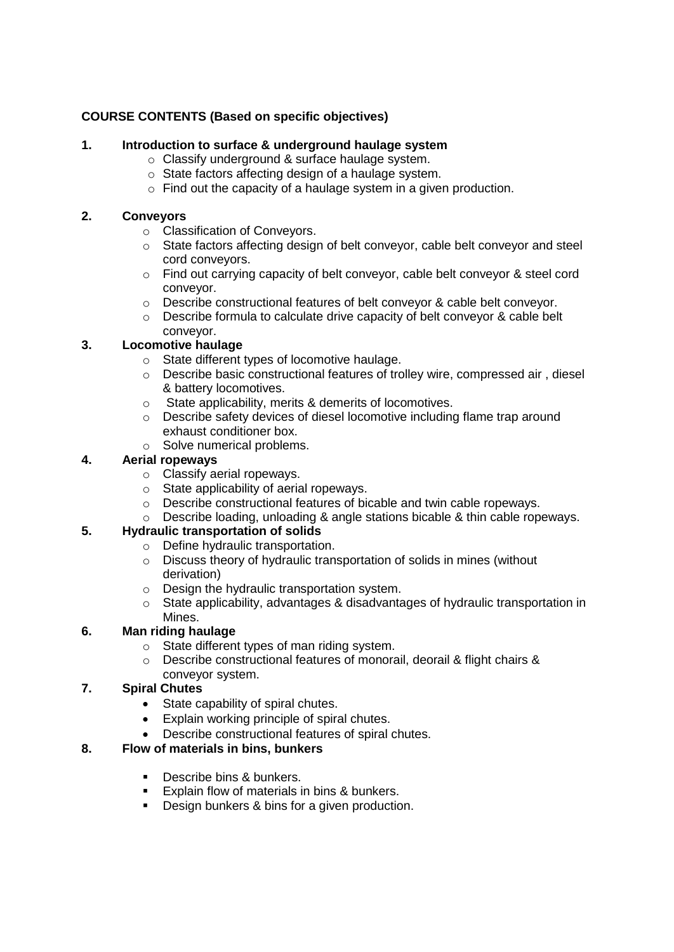## **1. Introduction to surface & underground haulage system**

- o Classify underground & surface haulage system.
- o State factors affecting design of a haulage system.
- $\circ$  Find out the capacity of a haulage system in a given production.

## **2. Conveyors**

- o Classification of Conveyors.
- $\circ$  State factors affecting design of belt conveyor, cable belt conveyor and steel cord conveyors.
- o Find out carrying capacity of belt conveyor, cable belt conveyor & steel cord conveyor.
- o Describe constructional features of belt conveyor & cable belt conveyor.
- o Describe formula to calculate drive capacity of belt conveyor & cable belt conveyor.

# **3. Locomotive haulage**

- o State different types of locomotive haulage.
- $\circ$  Describe basic constructional features of trolley wire, compressed air, diesel & battery locomotives.
- o State applicability, merits & demerits of locomotives.
- o Describe safety devices of diesel locomotive including flame trap around exhaust conditioner box.
- o Solve numerical problems.

### **4. Aerial ropeways**

- o Classify aerial ropeways.
- o State applicability of aerial ropeways.
- o Describe constructional features of bicable and twin cable ropeways.
- $\circ$  Describe loading, unloading & angle stations bicable & thin cable ropeways.

# **5. Hydraulic transportation of solids**

- o Define hydraulic transportation.
- o Discuss theory of hydraulic transportation of solids in mines (without derivation)
- o Design the hydraulic transportation system.
- o State applicability, advantages & disadvantages of hydraulic transportation in Mines.

#### **6. Man riding haulage**

- o State different types of man riding system.
- o Describe constructional features of monorail, deorail & flight chairs &
- conveyor system.

#### **7. Spiral Chutes**

- State capability of spiral chutes.
- Explain working principle of spiral chutes.
- Describe constructional features of spiral chutes.

#### **8. Flow of materials in bins, bunkers**

- Describe bins & bunkers.
- **Explain flow of materials in bins & bunkers.**
- **Design bunkers & bins for a given production.**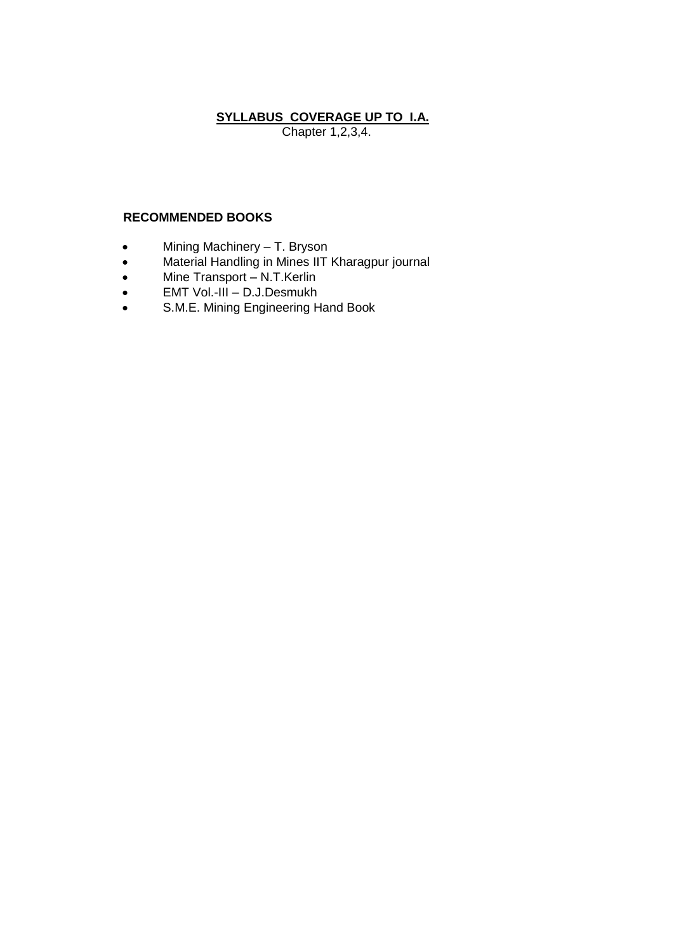### **SYLLABUS COVERAGE UP TO I.A.**

Chapter 1,2,3,4.

- Mining Machinery T. Bryson
- Material Handling in Mines IIT Kharagpur journal
- Mine Transport N.T.Kerlin
- EMT Vol.-III D.J.Desmukh
- S.M.E. Mining Engineering Hand Book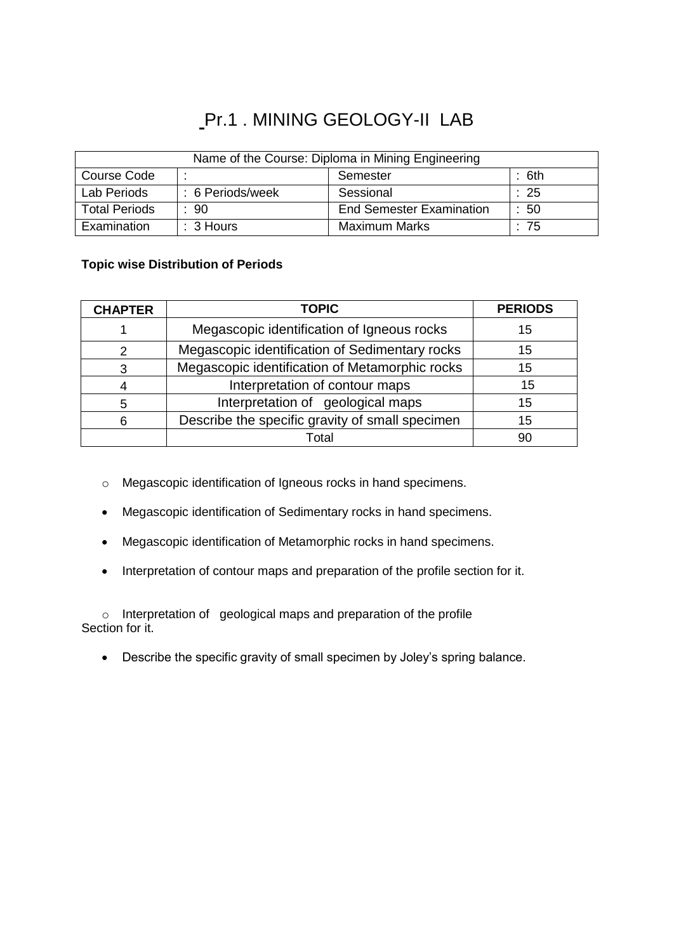# Pr.1 . MINING GEOLOGY-II LAB

| Name of the Course: Diploma in Mining Engineering |                      |                                 |                 |  |
|---------------------------------------------------|----------------------|---------------------------------|-----------------|--|
| Course Code<br>:6th<br>Semester                   |                      |                                 |                 |  |
| Lab Periods                                       | : 6 Periods/week     | Sessional                       | $\therefore$ 25 |  |
| <b>Total Periods</b>                              | $\therefore$ 90      | <b>End Semester Examination</b> | $\therefore$ 50 |  |
| Examination                                       | $\therefore$ 3 Hours | <b>Maximum Marks</b>            | :75             |  |

# **Topic wise Distribution of Periods**

| <b>CHAPTER</b> | <b>TOPIC</b>                                    | <b>PERIODS</b> |
|----------------|-------------------------------------------------|----------------|
|                | Megascopic identification of Igneous rocks      | 15             |
| 2              | Megascopic identification of Sedimentary rocks  | 15             |
| 3              | Megascopic identification of Metamorphic rocks  | 15             |
| 4              | Interpretation of contour maps                  | 15             |
| 5              | Interpretation of geological maps               | 15             |
| 6              | Describe the specific gravity of small specimen | 15             |
|                | Total                                           | 90             |

- o Megascopic identification of Igneous rocks in hand specimens.
- Megascopic identification of Sedimentary rocks in hand specimens.
- Megascopic identification of Metamorphic rocks in hand specimens.
- Interpretation of contour maps and preparation of the profile section for it.

o Interpretation of geological maps and preparation of the profile Section for it.

Describe the specific gravity of small specimen by Joley's spring balance.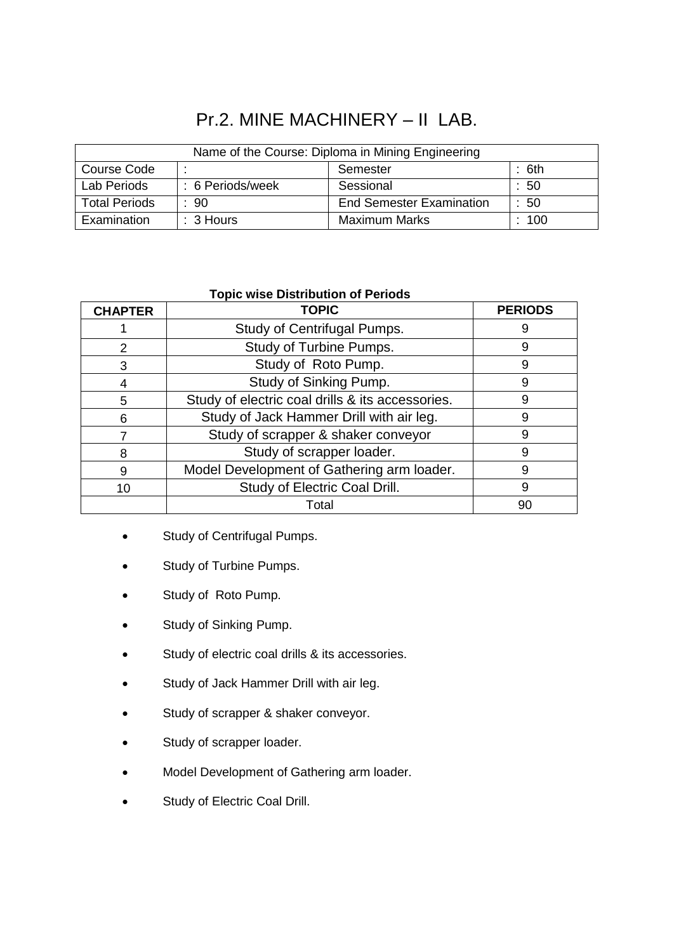# Pr.2. MINE MACHINERY – II LAB.

| Name of the Course: Diploma in Mining Engineering |                      |                                 |                 |
|---------------------------------------------------|----------------------|---------------------------------|-----------------|
| Course Code<br>: 6th<br>Semester                  |                      |                                 |                 |
| Lab Periods                                       | : 6 Periods/week     | Sessional                       | $\therefore$ 50 |
| <b>Total Periods</b>                              | $\therefore$ 90      | <b>End Semester Examination</b> | $\therefore$ 50 |
| Examination                                       | $\therefore$ 3 Hours | <b>Maximum Marks</b>            | : 100           |

#### **Topic wise Distribution of Periods**

| <b>CHAPTER</b> | <b>TOPIC</b>                                     | <b>PERIODS</b> |
|----------------|--------------------------------------------------|----------------|
|                | Study of Centrifugal Pumps.                      | 9              |
| 2              | Study of Turbine Pumps.                          |                |
| 3              | Study of Roto Pump.                              | 9              |
| 4              | Study of Sinking Pump.                           | 9              |
| 5              | Study of electric coal drills & its accessories. |                |
| 6              | Study of Jack Hammer Drill with air leg.         |                |
|                | Study of scrapper & shaker conveyor              | 9              |
| 8              | Study of scrapper loader.                        | 9              |
| 9              | Model Development of Gathering arm loader.       | 9              |
| 10             | Study of Electric Coal Drill.                    | 9              |
|                | Total                                            | 90             |

- Study of Centrifugal Pumps.
- Study of Turbine Pumps.
- Study of Roto Pump.
- Study of Sinking Pump.
- Study of electric coal drills & its accessories.
- Study of Jack Hammer Drill with air leg.
- **Study of scrapper & shaker conveyor.**
- Study of scrapper loader.
- Model Development of Gathering arm loader.
- Study of Electric Coal Drill.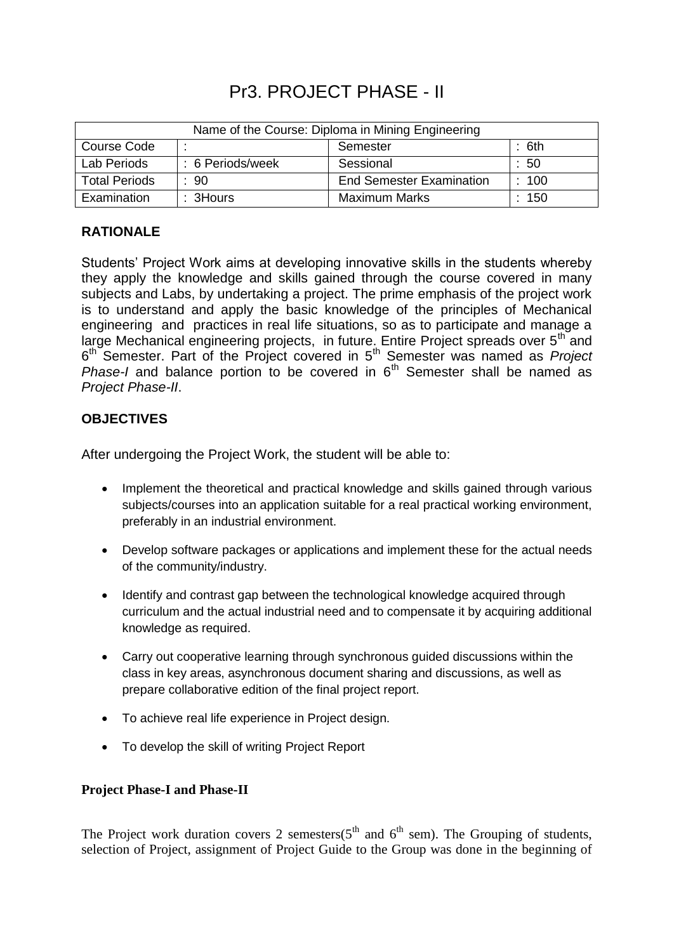# Pr3. PROJECT PHASE - II

| Name of the Course: Diploma in Mining Engineering |                  |                                 |       |  |
|---------------------------------------------------|------------------|---------------------------------|-------|--|
| Course Code<br>:6th<br>Semester                   |                  |                                 |       |  |
| Lab Periods                                       | : 6 Periods/week | Sessional                       | :50   |  |
| <b>Total Periods</b>                              | $\therefore$ 90  | <b>End Semester Examination</b> | : 100 |  |
| Examination                                       | $: 3$ Hours      | <b>Maximum Marks</b>            | 150   |  |

# **RATIONALE**

Students' Project Work aims at developing innovative skills in the students whereby they apply the knowledge and skills gained through the course covered in many subjects and Labs, by undertaking a project. The prime emphasis of the project work is to understand and apply the basic knowledge of the principles of Mechanical engineering and practices in real life situations, so as to participate and manage a large Mechanical engineering projects, in future. Entire Project spreads over  $5<sup>th</sup>$  and 6 th Semester. Part of the Project covered in 5th Semester was named as *Project Phase-I* and balance portion to be covered in 6<sup>th</sup> Semester shall be named as *Project Phase-II*.

# **OBJECTIVES**

After undergoing the Project Work, the student will be able to:

- Implement the theoretical and practical knowledge and skills gained through various subjects/courses into an application suitable for a real practical working environment, preferably in an industrial environment.
- Develop software packages or applications and implement these for the actual needs of the community/industry.
- Identify and contrast gap between the technological knowledge acquired through curriculum and the actual industrial need and to compensate it by acquiring additional knowledge as required.
- Carry out cooperative learning through synchronous guided discussions within the class in key areas, asynchronous document sharing and discussions, as well as prepare collaborative edition of the final project report.
- To achieve real life experience in Project design.
- To develop the skill of writing Project Report

# **Project Phase-I and Phase-II**

The Project work duration covers 2 semesters( $5<sup>th</sup>$  and  $6<sup>th</sup>$  sem). The Grouping of students, selection of Project, assignment of Project Guide to the Group was done in the beginning of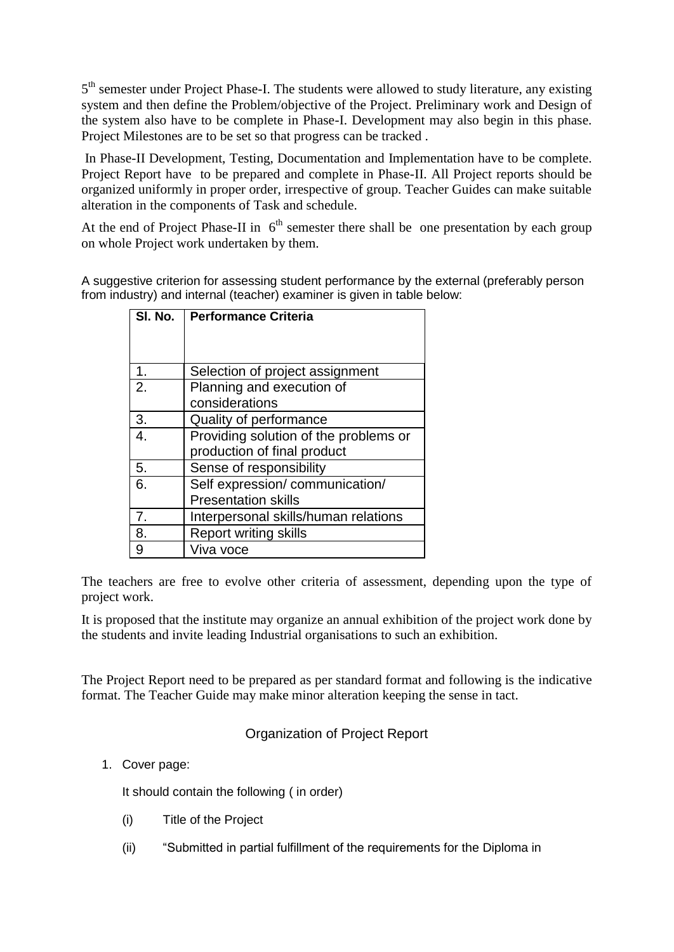5<sup>th</sup> semester under Project Phase-I. The students were allowed to study literature, any existing system and then define the Problem/objective of the Project. Preliminary work and Design of the system also have to be complete in Phase-I. Development may also begin in this phase. Project Milestones are to be set so that progress can be tracked .

In Phase-II Development, Testing, Documentation and Implementation have to be complete. Project Report have to be prepared and complete in Phase-II. All Project reports should be organized uniformly in proper order, irrespective of group. Teacher Guides can make suitable alteration in the components of Task and schedule.

At the end of Project Phase-II in  $6<sup>th</sup>$  semester there shall be one presentation by each group on whole Project work undertaken by them.

A suggestive criterion for assessing student performance by the external (preferably person from industry) and internal (teacher) examiner is given in table below:

| SI. No.          | <b>Performance Criteria</b>           |
|------------------|---------------------------------------|
|                  |                                       |
|                  |                                       |
| 1.               | Selection of project assignment       |
| 2.               | Planning and execution of             |
|                  | considerations                        |
| 3.               | Quality of performance                |
| $\overline{4}$ . | Providing solution of the problems or |
|                  | production of final product           |
| 5.               | Sense of responsibility               |
| 6.               | Self expression/communication/        |
|                  | <b>Presentation skills</b>            |
| 7.               | Interpersonal skills/human relations  |
| 8.               | <b>Report writing skills</b>          |
| 9                | Viva voce                             |

The teachers are free to evolve other criteria of assessment, depending upon the type of project work.

It is proposed that the institute may organize an annual exhibition of the project work done by the students and invite leading Industrial organisations to such an exhibition.

The Project Report need to be prepared as per standard format and following is the indicative format. The Teacher Guide may make minor alteration keeping the sense in tact.

# Organization of Project Report

# 1. Cover page:

It should contain the following ( in order)

- (i) Title of the Project
- (ii) Submitted in partial fulfillment of the requirements for the Diploma in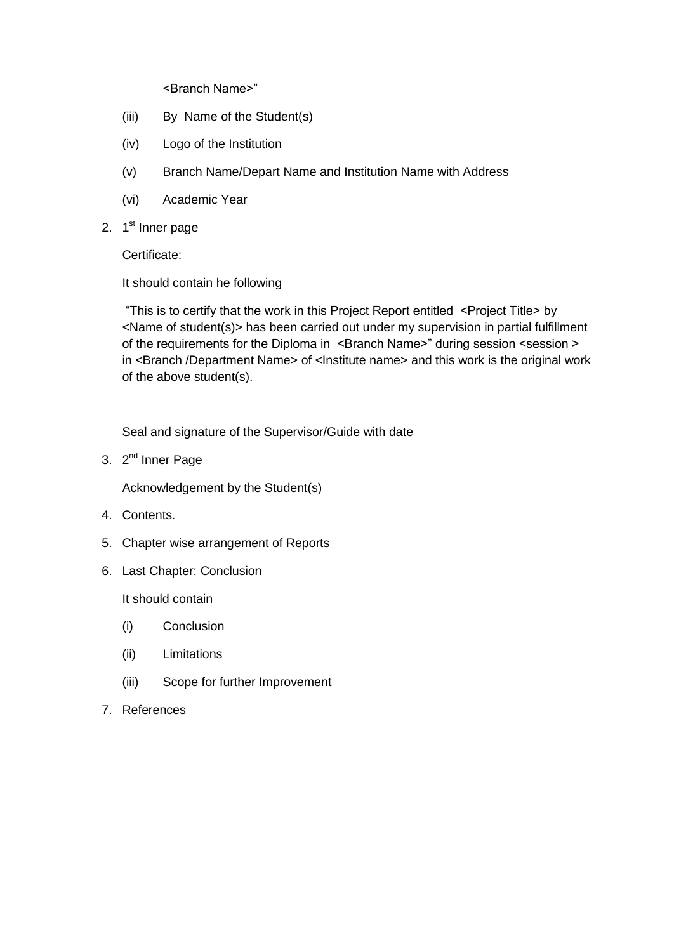<Branch Name>‖

- (iii) By Name of the Student(s)
- (iv) Logo of the Institution
- (v) Branch Name/Depart Name and Institution Name with Address
- (vi) Academic Year
- 2. 1<sup>st</sup> Inner page

Certificate:

It should contain he following

―This is to certify that the work in this Project Report entitled <Project Title> by <Name of student(s)> has been carried out under my supervision in partial fulfillment of the requirements for the Diploma in <Branch Name>" during session <session > in <Branch /Department Name> of <Institute name> and this work is the original work of the above student(s).

Seal and signature of the Supervisor/Guide with date

3. 2<sup>nd</sup> Inner Page

Acknowledgement by the Student(s)

- 4. Contents.
- 5. Chapter wise arrangement of Reports
- 6. Last Chapter: Conclusion

It should contain

- (i) Conclusion
- (ii) Limitations
- (iii) Scope for further Improvement
- 7. References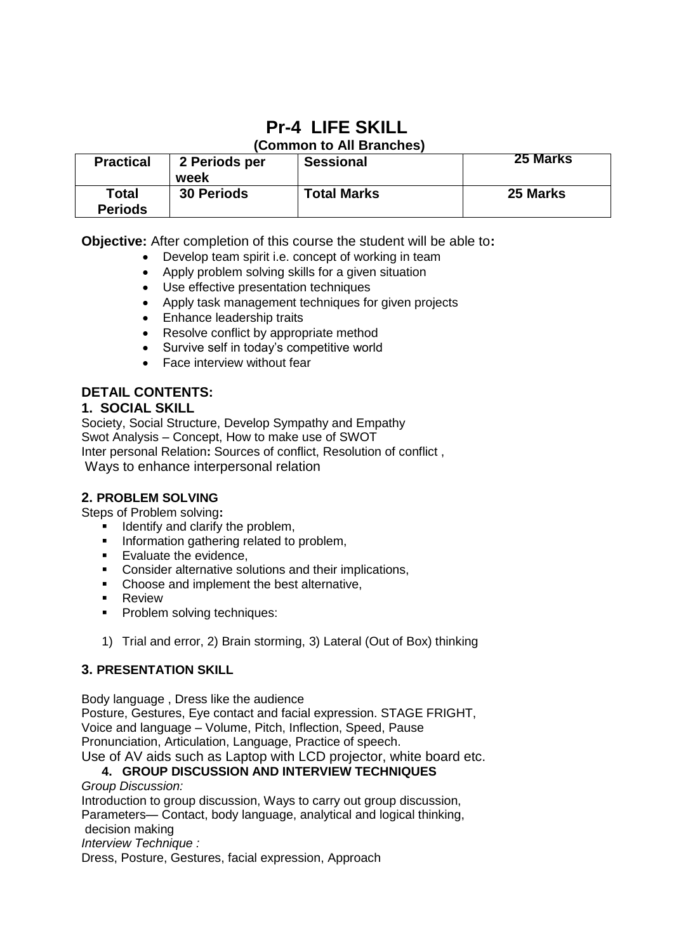# **Pr-4 LIFE SKILL (Common to All Branches)**

| <b>Practical</b>               | 2 Periods per<br>week | <b>Sessional</b>   | 25 Marks |
|--------------------------------|-----------------------|--------------------|----------|
| <b>Total</b><br><b>Periods</b> | <b>30 Periods</b>     | <b>Total Marks</b> | 25 Marks |

**Objective:** After completion of this course the student will be able to**:**

- Develop team spirit i.e. concept of working in team
- Apply problem solving skills for a given situation
- Use effective presentation techniques
- Apply task management techniques for given projects
- Enhance leadership traits
- Resolve conflict by appropriate method
- Survive self in today's competitive world
- Face interview without fear

# **DETAIL CONTENTS:**

### **1. SOCIAL SKILL**

Society, Social Structure, Develop Sympathy and Empathy Swot Analysis – Concept, How to make use of SWOT Inter personal Relation**:** Sources of conflict, Resolution of conflict , Ways to enhance interpersonal relation

# **2. PROBLEM SOLVING**

Steps of Problem solving**:** 

- $\blacksquare$  Identify and clarify the problem,
- **Information gathering related to problem,**
- **Evaluate the evidence.**
- **Consider alternative solutions and their implications,**
- Choose and implement the best alternative,
- **Review**
- **Problem solving techniques:**
- 1) Trial and error, 2) Brain storming, 3) Lateral (Out of Box) thinking

# **3. PRESENTATION SKILL**

Body language , Dress like the audience Posture, Gestures, Eye contact and facial expression. STAGE FRIGHT, Voice and language – Volume, Pitch, Inflection, Speed, Pause Pronunciation, Articulation, Language, Practice of speech. Use of AV aids such as Laptop with LCD projector, white board etc.

#### **4. GROUP DISCUSSION AND INTERVIEW TECHNIQUES**

*Group Discussion:*

Introduction to group discussion, Ways to carry out group discussion, Parameters— Contact, body language, analytical and logical thinking, decision making

*Interview Technique :*

Dress, Posture, Gestures, facial expression, Approach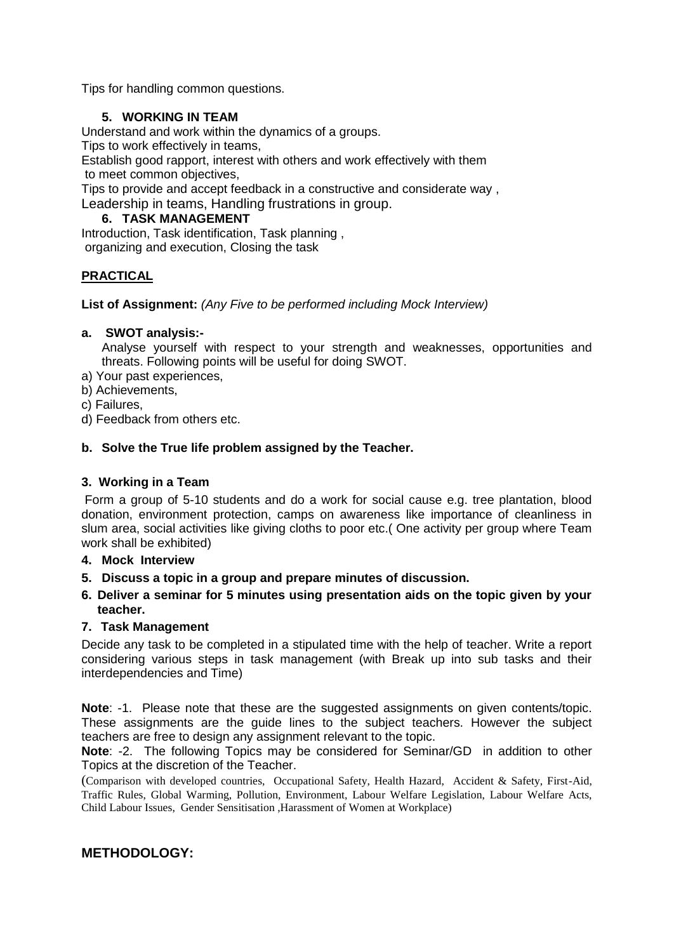Tips for handling common questions.

#### **5. WORKING IN TEAM**

Understand and work within the dynamics of a groups.

Tips to work effectively in teams,

Establish good rapport, interest with others and work effectively with them to meet common objectives,

Tips to provide and accept feedback in a constructive and considerate way ,

Leadership in teams, Handling frustrations in group.

### **6. TASK MANAGEMENT**

Introduction, Task identification, Task planning , organizing and execution, Closing the task

# **PRACTICAL**

**List of Assignment:** *(Any Five to be performed including Mock Interview)*

### **a. SWOT analysis:-**

Analyse yourself with respect to your strength and weaknesses, opportunities and threats. Following points will be useful for doing SWOT.

- a) Your past experiences,
- b) Achievements,
- c) Failures,
- d) Feedback from others etc.

### **b. Solve the True life problem assigned by the Teacher.**

## **3. Working in a Team**

Form a group of 5-10 students and do a work for social cause e.g. tree plantation, blood donation, environment protection, camps on awareness like importance of cleanliness in slum area, social activities like giving cloths to poor etc.( One activity per group where Team work shall be exhibited)

#### **4. Mock Interview**

- **5. Discuss a topic in a group and prepare minutes of discussion.**
- **6. Deliver a seminar for 5 minutes using presentation aids on the topic given by your teacher.**

#### **7. Task Management**

Decide any task to be completed in a stipulated time with the help of teacher. Write a report considering various steps in task management (with Break up into sub tasks and their interdependencies and Time)

**Note**: -1. Please note that these are the suggested assignments on given contents/topic. These assignments are the guide lines to the subject teachers. However the subject teachers are free to design any assignment relevant to the topic.

**Note**: -2. The following Topics may be considered for Seminar/GD in addition to other Topics at the discretion of the Teacher.

(Comparison with developed countries, Occupational Safety, Health Hazard, Accident & Safety, First-Aid, Traffic Rules, Global Warming, Pollution, Environment, Labour Welfare Legislation, Labour Welfare Acts, Child Labour Issues, Gender Sensitisation ,Harassment of Women at Workplace)

# **METHODOLOGY:**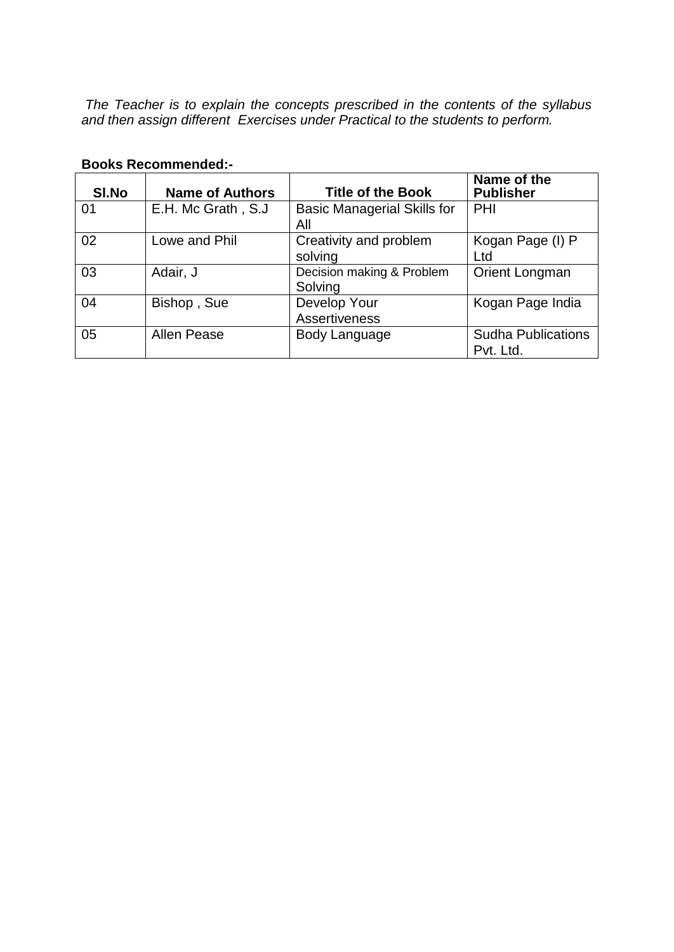*The Teacher is to explain the concepts prescribed in the contents of the syllabus and then assign different Exercises under Practical to the students to perform.*

| SI.No | <b>Name of Authors</b> | <b>Title of the Book</b>                  | Name of the<br><b>Publisher</b>        |
|-------|------------------------|-------------------------------------------|----------------------------------------|
| 01    | E.H. Mc Grath, S.J.    | <b>Basic Managerial Skills for</b><br>All | PHI                                    |
| 02    | Lowe and Phil          | Creativity and problem<br>solving         | Kogan Page (I) P<br>Ltd                |
| 03    | Adair, J               | Decision making & Problem<br>Solving      | Orient Longman                         |
| 04    | Bishop, Sue            | Develop Your<br><b>Assertiveness</b>      | Kogan Page India                       |
| 05    | Allen Pease            | Body Language                             | <b>Sudha Publications</b><br>Pvt. Ltd. |

# **Books Recommended:-**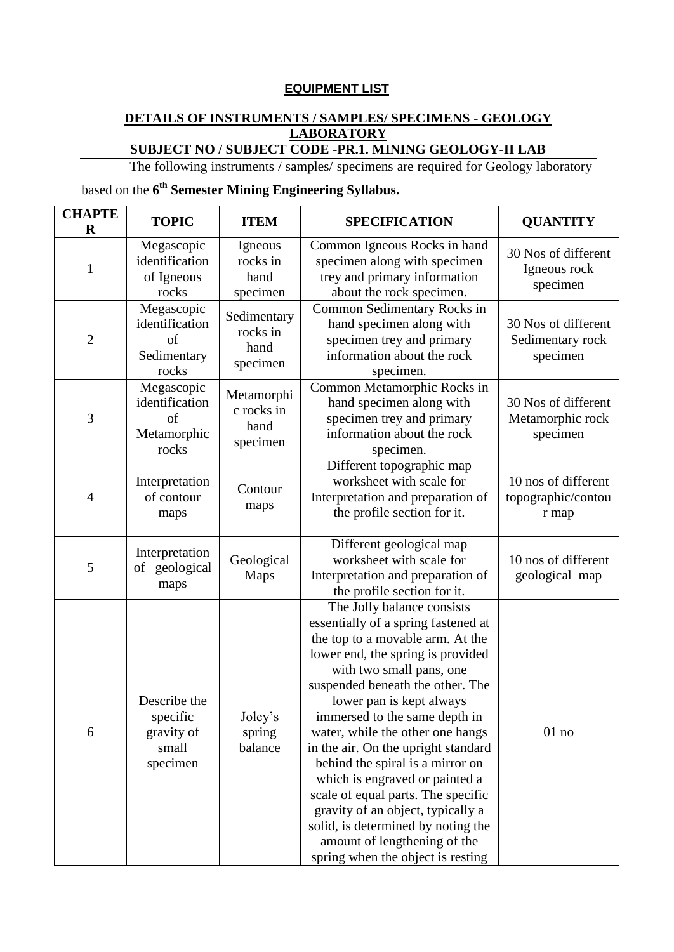#### **EQUIPMENT LIST**

# **DETAILS OF INSTRUMENTS / SAMPLES/ SPECIMENS - GEOLOGY LABORATORY**

**SUBJECT NO / SUBJECT CODE -PR.1. MINING GEOLOGY-II LAB**

The following instruments / samples/ specimens are required for Geology laboratory

based on the **6 th Semester Mining Engineering Syllabus.** 

| <b>CHAPTE</b><br>$\mathbf R$ | <b>TOPIC</b>                                                | <b>ITEM</b>                                  | <b>SPECIFICATION</b>                                                                                                                                                                                                                                                                                                                                                                                                                                                                                                                                                                                           | <b>QUANTITY</b>                                     |
|------------------------------|-------------------------------------------------------------|----------------------------------------------|----------------------------------------------------------------------------------------------------------------------------------------------------------------------------------------------------------------------------------------------------------------------------------------------------------------------------------------------------------------------------------------------------------------------------------------------------------------------------------------------------------------------------------------------------------------------------------------------------------------|-----------------------------------------------------|
| $\mathbf{1}$                 | Megascopic<br>identification<br>of Igneous<br>rocks         | Igneous<br>rocks in<br>hand<br>specimen      | Common Igneous Rocks in hand<br>specimen along with specimen<br>trey and primary information<br>about the rock specimen.                                                                                                                                                                                                                                                                                                                                                                                                                                                                                       | 30 Nos of different<br>Igneous rock<br>specimen     |
| $\overline{2}$               | Megascopic<br>identification<br>of<br>Sedimentary<br>rocks  | Sedimentary<br>rocks in<br>hand<br>specimen  | Common Sedimentary Rocks in<br>hand specimen along with<br>specimen trey and primary<br>information about the rock<br>specimen.                                                                                                                                                                                                                                                                                                                                                                                                                                                                                | 30 Nos of different<br>Sedimentary rock<br>specimen |
| 3                            | Megascopic<br>identification<br>of<br>Metamorphic<br>rocks  | Metamorphi<br>c rocks in<br>hand<br>specimen | Common Metamorphic Rocks in<br>hand specimen along with<br>specimen trey and primary<br>information about the rock<br>specimen.                                                                                                                                                                                                                                                                                                                                                                                                                                                                                | 30 Nos of different<br>Metamorphic rock<br>specimen |
| $\overline{4}$               | Interpretation<br>of contour<br>maps                        | Contour<br>maps                              | Different topographic map<br>worksheet with scale for<br>Interpretation and preparation of<br>the profile section for it.                                                                                                                                                                                                                                                                                                                                                                                                                                                                                      | 10 nos of different<br>topographic/contou<br>r map  |
| 5                            | Interpretation<br>of geological<br>maps                     | Geological<br><b>Maps</b>                    | Different geological map<br>worksheet with scale for<br>Interpretation and preparation of<br>the profile section for it.                                                                                                                                                                                                                                                                                                                                                                                                                                                                                       | 10 nos of different<br>geological map               |
| 6                            | Describe the<br>specific<br>gravity of<br>small<br>specimen | Joley's<br>spring<br>balance                 | The Jolly balance consists<br>essentially of a spring fastened at<br>the top to a movable arm. At the<br>lower end, the spring is provided<br>with two small pans, one<br>suspended beneath the other. The<br>lower pan is kept always<br>immersed to the same depth in<br>water, while the other one hangs<br>in the air. On the upright standard<br>behind the spiral is a mirror on<br>which is engraved or painted a<br>scale of equal parts. The specific<br>gravity of an object, typically a<br>solid, is determined by noting the<br>amount of lengthening of the<br>spring when the object is resting | $01$ no                                             |